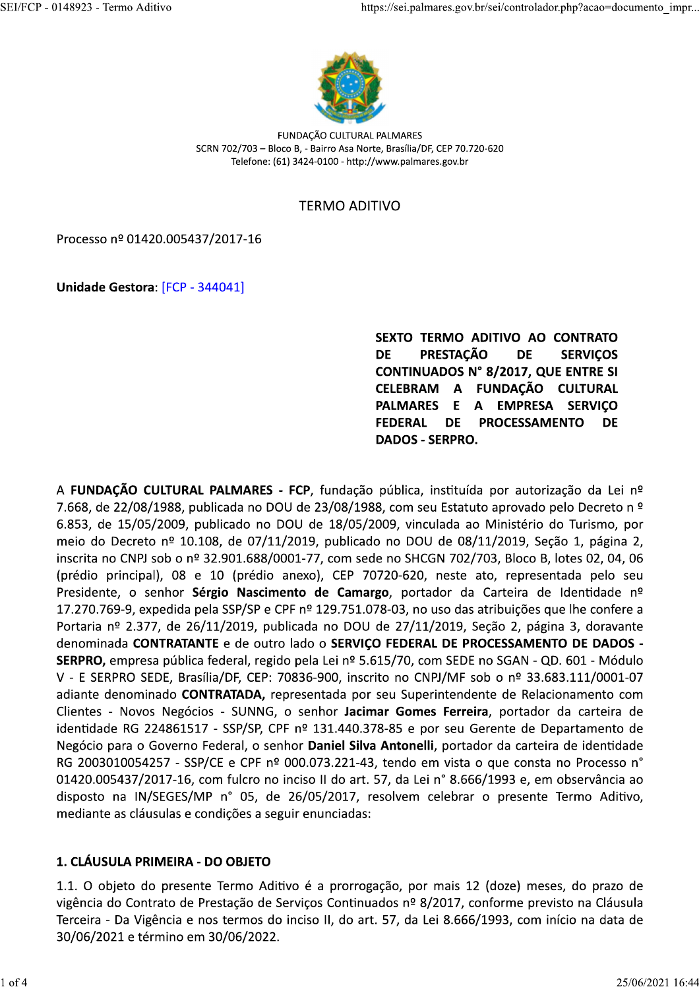

FUNDAÇÃO CULTURAL PALMARES SCRN 702/703 - Bloco B, - Bairro Asa Norte, Brasília/DF, CEP 70.720-620 Telefone: (61) 3424-0100 - http://www.palmares.gov.br

#### **TERMO ADITIVO**

Processo nº 01420.005437/2017-16

Unidade Gestora: [FCP - 344041]

SEXTO TERMO ADITIVO AO CONTRATO **DE PRESTACÃO DE SERVICOS** CONTINUADOS N° 8/2017, QUE ENTRE SI A FUNDACÃO CULTURAL **CELEBRAM PALMARES** E  $\mathbf{A}$ **EMPRESA SERVICO FEDERAL DE PROCESSAMENTO DE DADOS - SERPRO.** 

A FUNDAÇÃO CULTURAL PALMARES - FCP, fundação pública, instituída por autorização da Lei nº 7.668, de 22/08/1988, publicada no DOU de 23/08/1988, com seu Estatuto aprovado pelo Decreto n º 6.853, de 15/05/2009, publicado no DOU de 18/05/2009, vinculada ao Ministério do Turismo, por meio do Decreto nº 10.108, de 07/11/2019, publicado no DOU de 08/11/2019, Seção 1, página 2, inscrita no CNPJ sob o nº 32.901.688/0001-77, com sede no SHCGN 702/703, Bloco B, lotes 02, 04, 06 (prédio principal), 08 e 10 (prédio anexo), CEP 70720-620, neste ato, representada pelo seu Presidente, o senhor Sérgio Nascimento de Camargo, portador da Carteira de Identidade nº 17.270.769-9, expedida pela SSP/SP e CPF nº 129.751.078-03, no uso das atribuições que lhe confere a Portaria nº 2.377, de 26/11/2019, publicada no DOU de 27/11/2019, Seção 2, página 3, doravante denominada CONTRATANTE e de outro lado o SERVIÇO FEDERAL DE PROCESSAMENTO DE DADOS -SERPRO, empresa pública federal, regido pela Lei nº 5.615/70, com SEDE no SGAN - QD. 601 - Módulo V - E SERPRO SEDE, Brasília/DF, CEP: 70836-900, inscrito no CNPJ/MF sob o nº 33.683.111/0001-07 adiante denominado CONTRATADA, representada por seu Superintendente de Relacionamento com Clientes - Novos Negócios - SUNNG, o senhor Jacimar Gomes Ferreira, portador da carteira de identidade RG 224861517 - SSP/SP, CPF nº 131.440.378-85 e por seu Gerente de Departamento de Negócio para o Governo Federal, o senhor Daniel Silva Antonelli, portador da carteira de identidade RG 2003010054257 - SSP/CE e CPF nº 000.073.221-43, tendo em vista o que consta no Processo n° 01420.005437/2017-16, com fulcro no inciso II do art. 57, da Lei nº 8.666/1993 e, em observância ao disposto na IN/SEGES/MP n° 05, de 26/05/2017, resolvem celebrar o presente Termo Aditivo, mediante as cláusulas e condições a seguir enunciadas:

#### 1. CLÁUSULA PRIMEIRA - DO OBJETO

1.1. O objeto do presente Termo Aditivo é a prorrogação, por mais 12 (doze) meses, do prazo de vigência do Contrato de Prestação de Serviços Continuados nº 8/2017, conforme previsto na Cláusula Terceira - Da Vigência e nos termos do inciso II, do art. 57, da Lei 8.666/1993, com início na data de 30/06/2021 e término em 30/06/2022.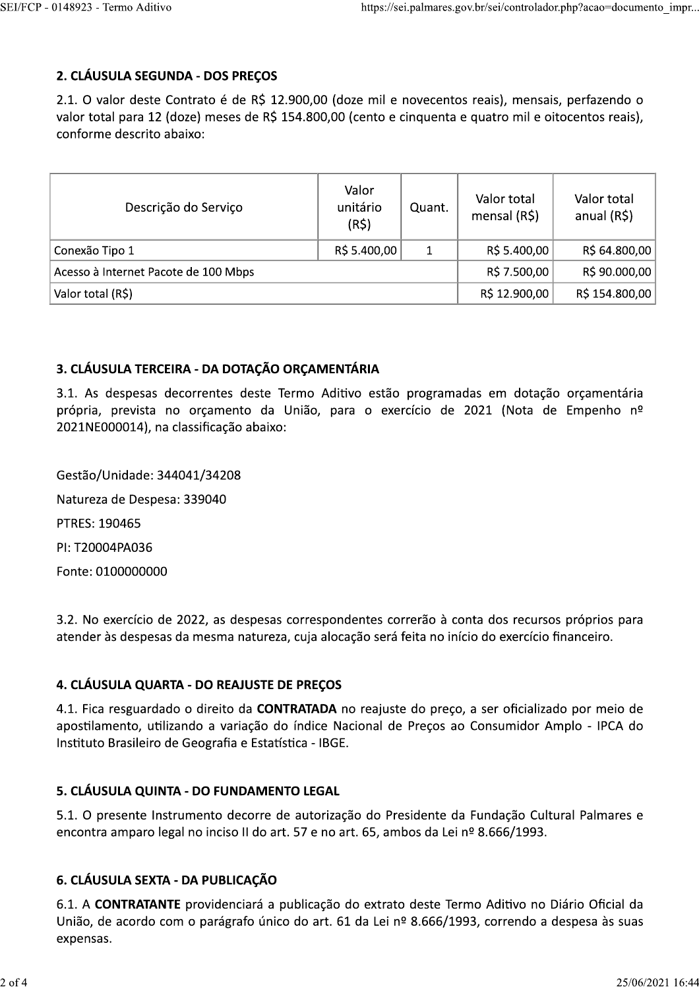# 2. CLÁUSULA SEGUNDA - DOS PREÇOS

2.1. O valor deste Contrato é de R\$ 12.900,00 (doze mil e novecentos reais), mensais, perfazendo o valor total para 12 (doze) meses de R\$ 154.800,00 (cento e cinquenta e quatro mil e oitocentos reais), conforme descrito abaixo:

| Descrição do Serviço                 | Valor<br>unitário<br>(R5) | Quant. | Valor total<br>mensal $(R\$ ) | Valor total<br>anual (R\$) |
|--------------------------------------|---------------------------|--------|-------------------------------|----------------------------|
| Conexão Tipo 1                       | R\$ 5.400,00              | 1      | R\$ 5.400,00                  | R\$ 64.800,00              |
| Acesso à Internet Pacote de 100 Mbps |                           |        | R\$ 7.500,00                  | R\$ 90.000,00              |
| Valor total (R\$)                    |                           |        | R\$ 12.900,00                 | R\$ 154.800,00             |

## 3. CLÁUSULA TERCEIRA - DA DOTAÇÃO ORÇAMENTÁRIA

3.1. As despesas decorrentes deste Termo Aditivo estão programadas em dotação orçamentária própria, prevista no orçamento da União, para o exercício de 2021 (Nota de Empenho nº 2021NE000014), na classificação abaixo:

Gestão/Unidade: 344041/34208 Natureza de Despesa: 339040 PTRES: 190465 PI: T20004PA036 Fonte: 0100000000

3.2. No exercício de 2022, as despesas correspondentes correrão à conta dos recursos próprios para atender às despesas da mesma natureza, cuja alocação será feita no início do exercício financeiro.

## 4. CLÁUSULA QUARTA - DO REAJUSTE DE PREÇOS

4.1. Fica resguardado o direito da **CONTRATADA** no reajuste do preço, a ser oficializado por meio de apostilamento, utilizando a variação do índice Nacional de Preços ao Consumidor Amplo - IPCA do Instituto Brasileiro de Geografia e Estatística - IBGE.

## 5. CLÁUSULA QUINTA - DO FUNDAMENTO LEGAL

5.1. O presente Instrumento decorre de autorização do Presidente da Fundação Cultural Palmares e encontra amparo legal no inciso II do art. 57 e no art. 65, ambos da Lei nº 8.666/1993.

## 6. CLÁUSULA SEXTA - DA PUBLICAÇÃO

6.1. A CONTRATANTE providenciará a publicação do extrato deste Termo Aditivo no Diário Oficial da União, de acordo com o parágrafo único do art. 61 da Lei nº 8.666/1993, correndo a despesa às suas expensas.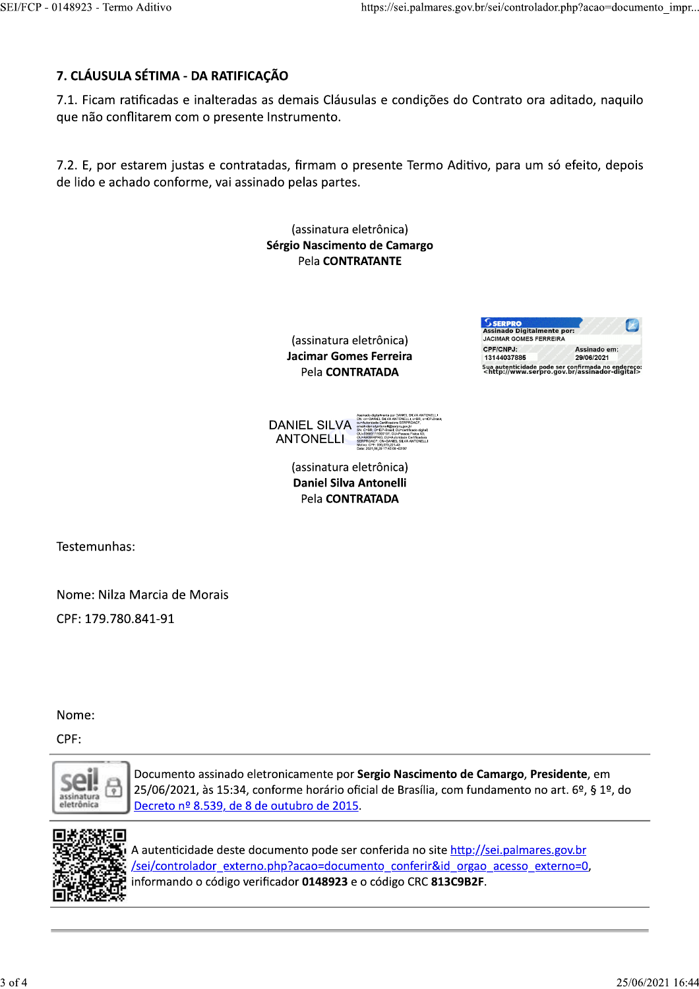# 7. CLÁUSULA SÉTIMA - DA RATIFICAÇÃO

7.1. Ficam ratificadas e inalteradas as demais Cláusulas e condições do Contrato ora aditado, naquilo que não conflitarem com o presente Instrumento.

7.2. E, por estarem justas e contratadas, firmam o presente Termo Aditivo, para um só efeito, depois de lido e achado conforme, vai assinado pelas partes.

> (assinatura eletrônica) Sérgio Nascimento de Camargo Pela CONTRATANTE

> > (assinatura eletrônica) **Jacimar Gomes Ferreira** Pela CONTRATADA

| SERPRO                            |                                                                                                                 |  |  |
|-----------------------------------|-----------------------------------------------------------------------------------------------------------------|--|--|
| <b>Assinado Digitalmente por:</b> |                                                                                                                 |  |  |
| <b>JACIMAR GOMES FERREIRA</b>     |                                                                                                                 |  |  |
| <b>CPF/CNPJ:</b>                  | Assinado em:                                                                                                    |  |  |
| 13144037885                       | 29/06/2021                                                                                                      |  |  |
|                                   | Sua autenticidade pode ser confirmada no endereço:<br><http: assinador-digital="" www.serpro.gov.br=""></http:> |  |  |





(assinatura eletrônica) **Daniel Silva Antonelli** Pela CONTRATADA

Testemunhas:

Nome: Nilza Marcia de Morais CPF: 179.780.841-91

Nome:

CPF:



Documento assinado eletronicamente por Sergio Nascimento de Camargo, Presidente, em 25/06/2021, às 15:34, conforme horário oficial de Brasília, com fundamento no art. 6º, § 1º, do Decreto nº 8.539, de 8 de outubro de 2015.



A autenticidade deste documento pode ser conferida no site http://sei.palmares.gov.br /sei/controlador externo.php?acao=documento conferir&id orgao acesso externo=0, informando o código verificador 0148923 e o código CRC 813C9B2F.